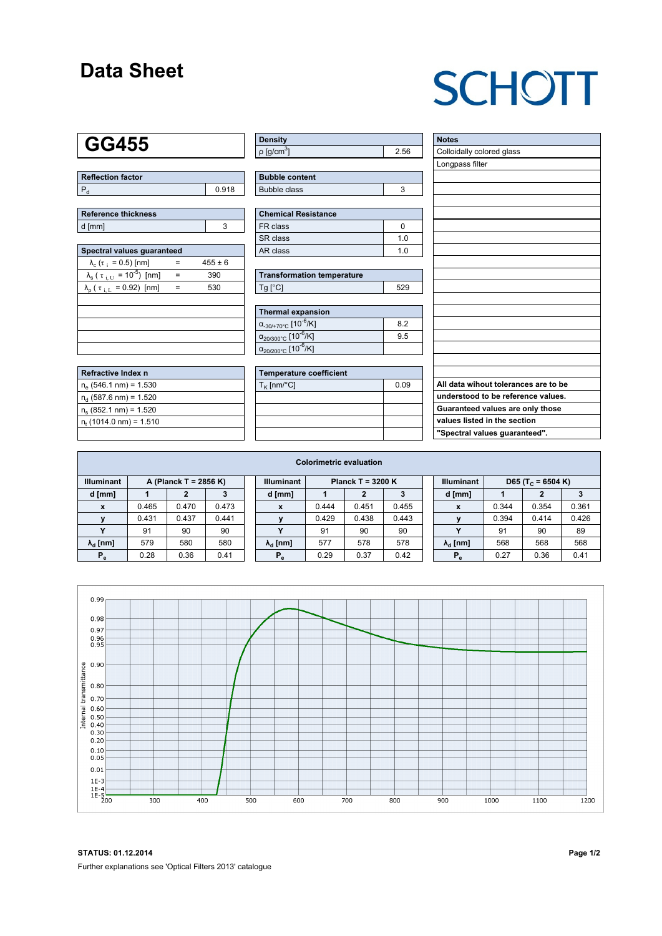### **Data Sheet**

# **SCHOTT**

### **GG455**

| Reflection factor |       |
|-------------------|-------|
|                   | 0.918 |

| Reference thickness |  |  |  |  |  |  |  |
|---------------------|--|--|--|--|--|--|--|
| d [mm]              |  |  |  |  |  |  |  |

| Spectral values quaranteed                                     |     |             |  |  |  |  |  |  |  |
|----------------------------------------------------------------|-----|-------------|--|--|--|--|--|--|--|
| $\lambda_c$ ( $\tau_i$ = 0.5) [nm]                             |     | $455 \pm 6$ |  |  |  |  |  |  |  |
| $\lambda_{\rm s}$ ( $\tau_{\rm i,U}$ = 10 <sup>-5</sup> ) [nm] | $=$ | 390         |  |  |  |  |  |  |  |
| $\lambda_{\rm p}$ ( $\tau_{\rm i, L}$ = 0.92) [nm]             |     | 530         |  |  |  |  |  |  |  |
|                                                                |     |             |  |  |  |  |  |  |  |
|                                                                |     |             |  |  |  |  |  |  |  |
|                                                                |     |             |  |  |  |  |  |  |  |
|                                                                |     |             |  |  |  |  |  |  |  |
|                                                                |     |             |  |  |  |  |  |  |  |

| Refractive Index n          |  |
|-----------------------------|--|
| $n_e$ (546.1 nm) = 1.530    |  |
| $n_{d}$ (587.6 nm) = 1.520  |  |
| $n_s$ (852.1 nm) = 1.520    |  |
| $n_{t}$ (1014.0 nm) = 1.510 |  |
|                             |  |

| <b>Density</b>              |      |
|-----------------------------|------|
| $\rho$ [g/cm <sup>3</sup> ] | 2.56 |

| <b>Bubble content</b> |  |
|-----------------------|--|
| Bubble class          |  |

| <b>Chemical Resistance</b> |     |  |  |  |  |  |
|----------------------------|-----|--|--|--|--|--|
| FR class                   |     |  |  |  |  |  |
| l SR class                 | 1 በ |  |  |  |  |  |
| l AR class                 | 1 በ |  |  |  |  |  |

| <b>Transformation temperature</b> |     |  |  |  |  |  |
|-----------------------------------|-----|--|--|--|--|--|
| $Tg$ [ $^{\circ}$ C]              | 529 |  |  |  |  |  |

| Thermal expansion                                 |     |  |  |  |  |  |  |
|---------------------------------------------------|-----|--|--|--|--|--|--|
| $\alpha_{-30/+70\degree}$ c [10 <sup>-6</sup> /K] | 8.2 |  |  |  |  |  |  |
| $\alpha_{20/300^{\circ}C}$ [10 <sup>-6</sup> /K]  | 9.5 |  |  |  |  |  |  |
| $\alpha_{20/200^{\circ}C}$ [10 <sup>-6</sup> /K]  |     |  |  |  |  |  |  |

| Temperature coefficient |      |  |  |  |  |  |  |
|-------------------------|------|--|--|--|--|--|--|
| $T_{\rm K}$ [nm/°C]     | 0.09 |  |  |  |  |  |  |
|                         |      |  |  |  |  |  |  |
|                         |      |  |  |  |  |  |  |
|                         |      |  |  |  |  |  |  |
|                         |      |  |  |  |  |  |  |

| <b>Notes</b>                         |
|--------------------------------------|
| Colloidally colored glass            |
| Longpass filter                      |
|                                      |
|                                      |
|                                      |
|                                      |
|                                      |
|                                      |
|                                      |
|                                      |
|                                      |
|                                      |
|                                      |
|                                      |
|                                      |
|                                      |
|                                      |
|                                      |
|                                      |
| All data wihout tolerances are to be |
|                                      |
| understood to be reference values.   |
| Guaranteed values are only those     |
| values listed in the section         |
| "Spectral values guaranteed".        |

| <b>Colorimetric evaluation</b>             |       |       |       |                                          |                        |       |       |       |                   |                        |                               |       |       |
|--------------------------------------------|-------|-------|-------|------------------------------------------|------------------------|-------|-------|-------|-------------------|------------------------|-------------------------------|-------|-------|
| <b>Illuminant</b><br>A (Planck T = 2856 K) |       |       |       | <b>Illuminant</b><br>Planck T = $3200 K$ |                        |       |       |       | <b>Illuminant</b> |                        | D65 (T <sub>c</sub> = 6504 K) |       |       |
| d [mm]                                     |       |       |       |                                          | d [mm]                 |       |       |       |                   | d [mm]                 |                               | 2     |       |
| x                                          | 0.465 | 0.470 | 0.473 |                                          | X                      | 0.444 | 0.451 | 0.455 |                   | X                      | 0.344                         | 0.354 | 0.361 |
| $\mathbf{v}$                               | 0.431 | 0.437 | 0.441 |                                          |                        | 0.429 | 0.438 | 0.443 |                   |                        | 0.394                         | 0.414 | 0.426 |
|                                            | 91    | 90    | 90    |                                          | v                      | 91    | 90    | 90    |                   |                        | 91                            | 90    | 89    |
| $\lambda_{\rm d}$ [nm]                     | 579   | 580   | 580   |                                          | $\lambda_{\rm d}$ [nm] | 577   | 578   | 578   |                   | $\lambda_{\rm d}$ [nm] | 568                           | 568   | 568   |
| $P_e$                                      | 0.28  | 0.36  | 0.41  |                                          | $P_e$                  | 0.29  | 0.37  | 0.42  |                   | $P_e$                  | 0.27                          | 0.36  | 0.41  |